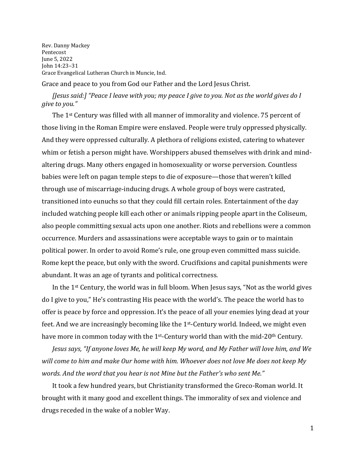Rev. Danny Mackey Pentecost June 5, 2022 John 14:23–31 Grace Evangelical Lutheran Church in Muncie, Ind.

Grace and peace to you from God our Father and the Lord Jesus Christ.

## *[Jesus said:] "Peace I leave with you; my peace I give to you. Not as the world gives do I give to you."*

The 1st Century was filled with all manner of immorality and violence. 75 percent of those living in the Roman Empire were enslaved. People were truly oppressed physically. And they were oppressed culturally. A plethora of religions existed, catering to whatever whim or fetish a person might have. Worshippers abused themselves with drink and mindaltering drugs. Many others engaged in homosexuality or worse perversion. Countless babies were left on pagan temple steps to die of exposure—those that weren't killed through use of miscarriage-inducing drugs. A whole group of boys were castrated, transitioned into eunuchs so that they could fill certain roles. Entertainment of the day included watching people kill each other or animals ripping people apart in the Coliseum, also people committing sexual acts upon one another. Riots and rebellions were a common occurrence. Murders and assassinations were acceptable ways to gain or to maintain political power. In order to avoid Rome's rule, one group even committed mass suicide. Rome kept the peace, but only with the sword. Crucifixions and capital punishments were abundant. It was an age of tyrants and political correctness.

In the 1st Century, the world was in full bloom. When Jesus says, "Not as the world gives do I give to you," He's contrasting His peace with the world's. The peace the world has to offer is peace by force and oppression. It's the peace of all your enemies lying dead at your feet. And we are increasingly becoming like the 1st-Century world. Indeed, we might even have more in common today with the 1st-Century world than with the mid-20th Century.

*Jesus says, "If anyone loves Me, he will keep My word, and My Father will love him, and We will come to him and make Our home with him. Whoever does not love Me does not keep My words. And the word that you hear is not Mine but the Father's who sent Me."*

It took a few hundred years, but Christianity transformed the Greco-Roman world. It brought with it many good and excellent things. The immorality of sex and violence and drugs receded in the wake of a nobler Way.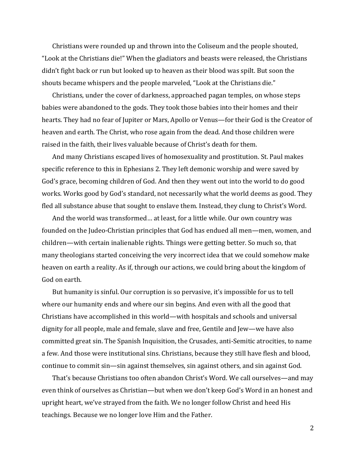Christians were rounded up and thrown into the Coliseum and the people shouted, "Look at the Christians die!" When the gladiators and beasts were released, the Christians didn't fight back or run but looked up to heaven as their blood was spilt. But soon the shouts became whispers and the people marveled, "Look at the Christians die."

Christians, under the cover of darkness, approached pagan temples, on whose steps babies were abandoned to the gods. They took those babies into their homes and their hearts. They had no fear of Jupiter or Mars, Apollo or Venus—for their God is the Creator of heaven and earth. The Christ, who rose again from the dead. And those children were raised in the faith, their lives valuable because of Christ's death for them.

And many Christians escaped lives of homosexuality and prostitution. St. Paul makes specific reference to this in Ephesians 2. They left demonic worship and were saved by God's grace, becoming children of God. And then they went out into the world to do good works. Works good by God's standard, not necessarily what the world deems as good. They fled all substance abuse that sought to enslave them. Instead, they clung to Christ's Word.

And the world was transformed… at least, for a little while. Our own country was founded on the Judeo-Christian principles that God has endued all men—men, women, and children—with certain inalienable rights. Things were getting better. So much so, that many theologians started conceiving the very incorrect idea that we could somehow make heaven on earth a reality. As if, through our actions, we could bring about the kingdom of God on earth.

But humanity is sinful. Our corruption is so pervasive, it's impossible for us to tell where our humanity ends and where our sin begins. And even with all the good that Christians have accomplished in this world—with hospitals and schools and universal dignity for all people, male and female, slave and free, Gentile and Jew—we have also committed great sin. The Spanish Inquisition, the Crusades, anti-Semitic atrocities, to name a few. And those were institutional sins. Christians, because they still have flesh and blood, continue to commit sin—sin against themselves, sin against others, and sin against God.

That's because Christians too often abandon Christ's Word. We call ourselves—and may even think of ourselves as Christian—but when we don't keep God's Word in an honest and upright heart, we've strayed from the faith. We no longer follow Christ and heed His teachings. Because we no longer love Him and the Father.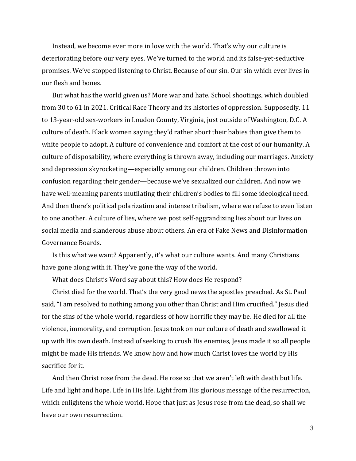Instead, we become ever more in love with the world. That's why our culture is deteriorating before our very eyes. We've turned to the world and its false-yet-seductive promises. We've stopped listening to Christ. Because of our sin. Our sin which ever lives in our flesh and bones.

But what has the world given us? More war and hate. School shootings, which doubled from 30 to 61 in 2021. Critical Race Theory and its histories of oppression. Supposedly, 11 to 13-year-old sex-workers in Loudon County, Virginia, just outside of Washington, D.C. A culture of death. Black women saying they'd rather abort their babies than give them to white people to adopt. A culture of convenience and comfort at the cost of our humanity. A culture of disposability, where everything is thrown away, including our marriages. Anxiety and depression skyrocketing—especially among our children. Children thrown into confusion regarding their gender—because we've sexualized our children. And now we have well-meaning parents mutilating their children's bodies to fill some ideological need. And then there's political polarization and intense tribalism, where we refuse to even listen to one another. A culture of lies, where we post self-aggrandizing lies about our lives on social media and slanderous abuse about others. An era of Fake News and Disinformation Governance Boards.

Is this what we want? Apparently, it's what our culture wants. And many Christians have gone along with it. They've gone the way of the world.

What does Christ's Word say about this? How does He respond?

Christ died for the world. That's the very good news the apostles preached. As St. Paul said, "I am resolved to nothing among you other than Christ and Him crucified." Jesus died for the sins of the whole world, regardless of how horrific they may be. He died for all the violence, immorality, and corruption. Jesus took on our culture of death and swallowed it up with His own death. Instead of seeking to crush His enemies, Jesus made it so all people might be made His friends. We know how and how much Christ loves the world by His sacrifice for it.

And then Christ rose from the dead. He rose so that we aren't left with death but life. Life and light and hope. Life in His life. Light from His glorious message of the resurrection, which enlightens the whole world. Hope that just as Jesus rose from the dead, so shall we have our own resurrection.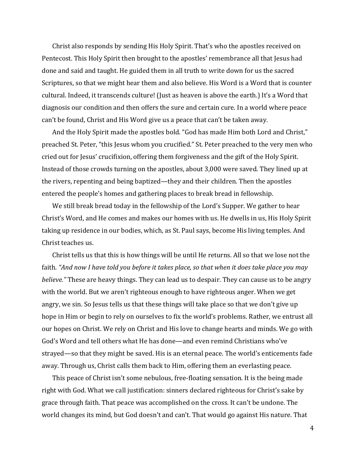Christ also responds by sending His Holy Spirit. That's who the apostles received on Pentecost. This Holy Spirit then brought to the apostles' remembrance all that Jesus had done and said and taught. He guided them in all truth to write down for us the sacred Scriptures, so that we might hear them and also believe. His Word is a Word that is counter cultural. Indeed, it transcends culture! (Just as heaven is above the earth.) It's a Word that diagnosis our condition and then offers the sure and certain cure. In a world where peace can't be found, Christ and His Word give us a peace that can't be taken away.

And the Holy Spirit made the apostles bold. "God has made Him both Lord and Christ," preached St. Peter, "this Jesus whom you crucified." St. Peter preached to the very men who cried out for Jesus' crucifixion, offering them forgiveness and the gift of the Holy Spirit. Instead of those crowds turning on the apostles, about 3,000 were saved. They lined up at the rivers, repenting and being baptized—they and their children. Then the apostles entered the people's homes and gathering places to break bread in fellowship.

We still break bread today in the fellowship of the Lord's Supper. We gather to hear Christ's Word, and He comes and makes our homes with us. He dwells in us, His Holy Spirit taking up residence in our bodies, which, as St. Paul says, become His living temples. And Christ teaches us.

Christ tells us that this is how things will be until He returns. All so that we lose not the faith. *"And now I have told you before it takes place, so that when it does take place you may believe."* These are heavy things. They can lead us to despair. They can cause us to be angry with the world. But we aren't righteous enough to have righteous anger. When we get angry, we sin. So Jesus tells us that these things will take place so that we don't give up hope in Him or begin to rely on ourselves to fix the world's problems. Rather, we entrust all our hopes on Christ. We rely on Christ and His love to change hearts and minds. We go with God's Word and tell others what He has done—and even remind Christians who've strayed—so that they might be saved. His is an eternal peace. The world's enticements fade away. Through us, Christ calls them back to Him, offering them an everlasting peace.

This peace of Christ isn't some nebulous, free-floating sensation. It is the being made right with God. What we call justification: sinners declared righteous for Christ's sake by grace through faith. That peace was accomplished on the cross. It can't be undone. The world changes its mind, but God doesn't and can't. That would go against His nature. That